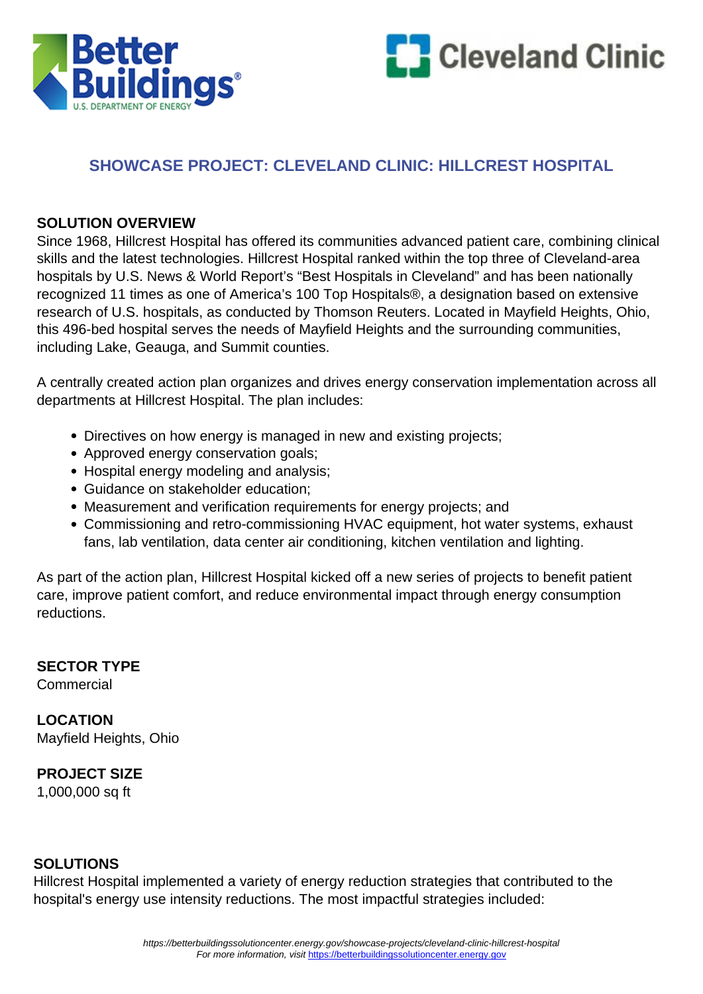



## **SHOWCASE PROJECT: CLEVELAND CLINIC: HILLCREST HOSPITAL**

#### **SOLUTION OVERVIEW**

Since 1968, Hillcrest Hospital has offered its communities advanced patient care, combining clinical skills and the latest technologies. Hillcrest Hospital ranked within the top three of Cleveland-area hospitals by U.S. News & World Report's "Best Hospitals in Cleveland" and has been nationally recognized 11 times as one of America's 100 Top Hospitals®, a designation based on extensive research of U.S. hospitals, as conducted by Thomson Reuters. Located in Mayfield Heights, Ohio, this 496-bed hospital serves the needs of Mayfield Heights and the surrounding communities, including Lake, Geauga, and Summit counties.

A centrally created action plan organizes and drives energy conservation implementation across all departments at Hillcrest Hospital. The plan includes:

- Directives on how energy is managed in new and existing projects;
- Approved energy conservation goals;
- Hospital energy modeling and analysis;
- Guidance on stakeholder education;
- Measurement and verification requirements for energy projects; and
- Commissioning and retro-commissioning HVAC equipment, hot water systems, exhaust fans, lab ventilation, data center air conditioning, kitchen ventilation and lighting.

As part of the action plan, Hillcrest Hospital kicked off a new series of projects to benefit patient care, improve patient comfort, and reduce environmental impact through energy consumption reductions.

# **SECTOR TYPE**

**Commercial** 

**LOCATION** Mayfield Heights, Ohio

#### **PROJECT SIZE**

1,000,000 sq ft

#### **SOLUTIONS**

Hillcrest Hospital implemented a variety of energy reduction strategies that contributed to the hospital's energy use intensity reductions. The most impactful strategies included: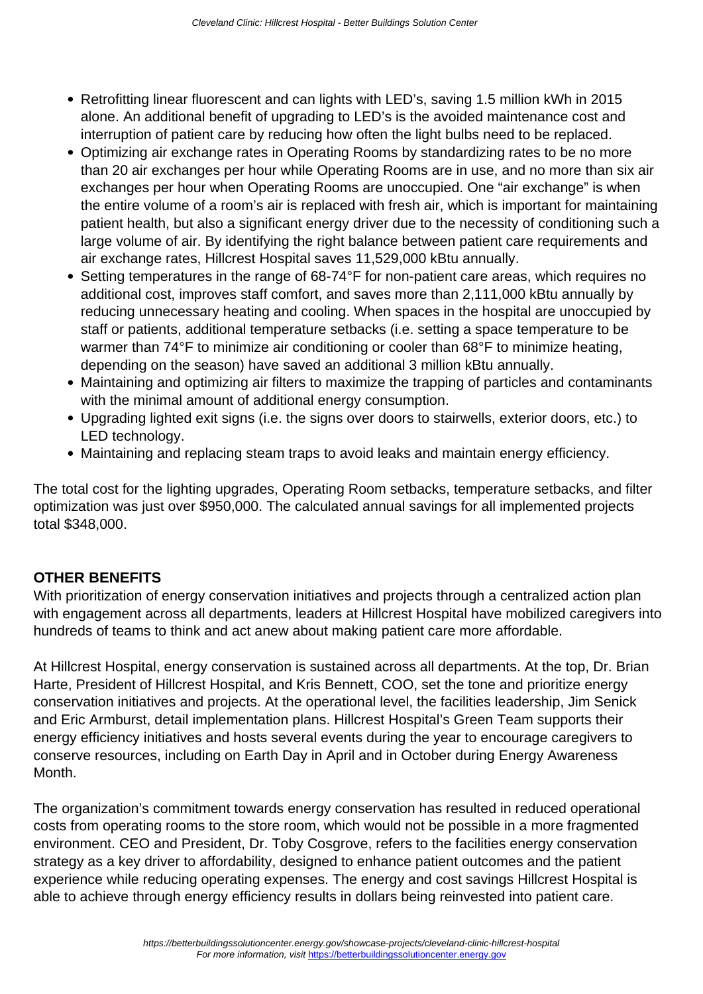- Retrofitting linear fluorescent and can lights with LED's, saving 1.5 million kWh in 2015 alone. An additional benefit of upgrading to LED's is the avoided maintenance cost and interruption of patient care by reducing how often the light bulbs need to be replaced.
- Optimizing air exchange rates in Operating Rooms by standardizing rates to be no more than 20 air exchanges per hour while Operating Rooms are in use, and no more than six air exchanges per hour when Operating Rooms are unoccupied. One "air exchange" is when the entire volume of a room's air is replaced with fresh air, which is important for maintaining patient health, but also a significant energy driver due to the necessity of conditioning such a large volume of air. By identifying the right balance between patient care requirements and air exchange rates, Hillcrest Hospital saves 11,529,000 kBtu annually.
- Setting temperatures in the range of 68-74°F for non-patient care areas, which requires no additional cost, improves staff comfort, and saves more than 2,111,000 kBtu annually by reducing unnecessary heating and cooling. When spaces in the hospital are unoccupied by staff or patients, additional temperature setbacks (i.e. setting a space temperature to be warmer than 74°F to minimize air conditioning or cooler than 68°F to minimize heating, depending on the season) have saved an additional 3 million kBtu annually.
- Maintaining and optimizing air filters to maximize the trapping of particles and contaminants with the minimal amount of additional energy consumption.
- Upgrading lighted exit signs (i.e. the signs over doors to stairwells, exterior doors, etc.) to LED technology.
- Maintaining and replacing steam traps to avoid leaks and maintain energy efficiency.

The total cost for the lighting upgrades, Operating Room setbacks, temperature setbacks, and filter optimization was just over \$950,000. The calculated annual savings for all implemented projects total \$348,000.

### **OTHER BENEFITS**

With prioritization of energy conservation initiatives and projects through a centralized action plan with engagement across all departments, leaders at Hillcrest Hospital have mobilized caregivers into hundreds of teams to think and act anew about making patient care more affordable.

At Hillcrest Hospital, energy conservation is sustained across all departments. At the top, Dr. Brian Harte, President of Hillcrest Hospital, and Kris Bennett, COO, set the tone and prioritize energy conservation initiatives and projects. At the operational level, the facilities leadership, Jim Senick and Eric Armburst, detail implementation plans. Hillcrest Hospital's Green Team supports their energy efficiency initiatives and hosts several events during the year to encourage caregivers to conserve resources, including on Earth Day in April and in October during Energy Awareness Month.

The organization's commitment towards energy conservation has resulted in reduced operational costs from operating rooms to the store room, which would not be possible in a more fragmented environment. CEO and President, Dr. Toby Cosgrove, refers to the facilities energy conservation strategy as a key driver to affordability, designed to enhance patient outcomes and the patient experience while reducing operating expenses. The energy and cost savings Hillcrest Hospital is able to achieve through energy efficiency results in dollars being reinvested into patient care.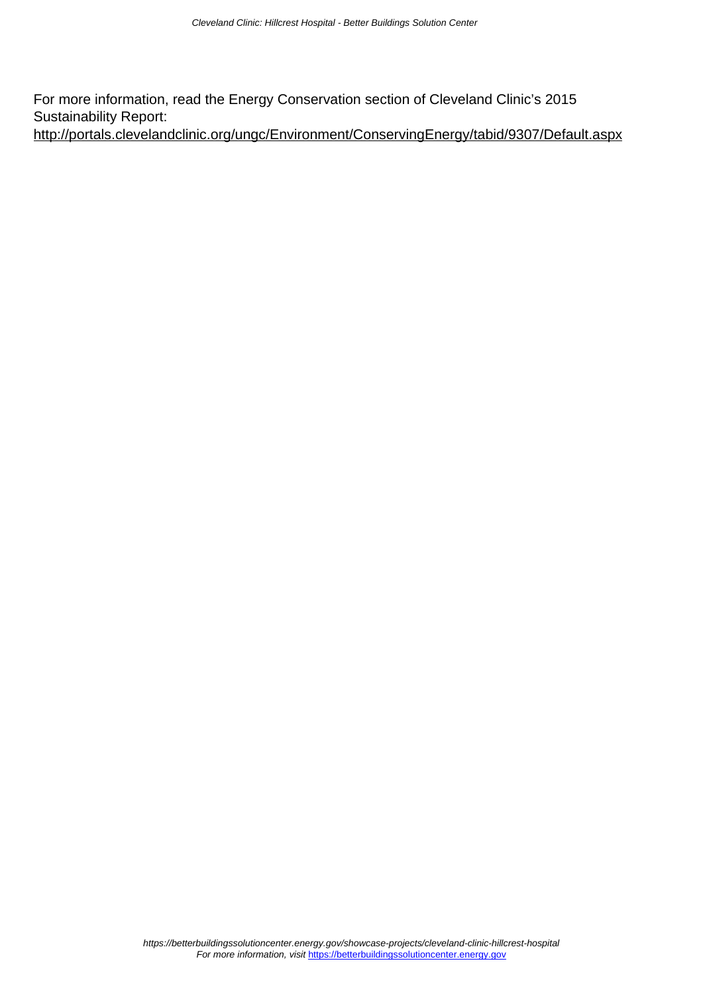For more information, read the Energy Conservation section of Cleveland Clinic's 2015 Sustainability Report: <http://portals.clevelandclinic.org/ungc/Environment/ConservingEnergy/tabid/9307/Default.aspx>